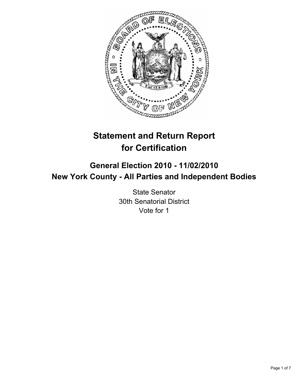

# **Statement and Return Report for Certification**

## **General Election 2010 - 11/02/2010 New York County - All Parties and Independent Bodies**

State Senator 30th Senatorial District Vote for 1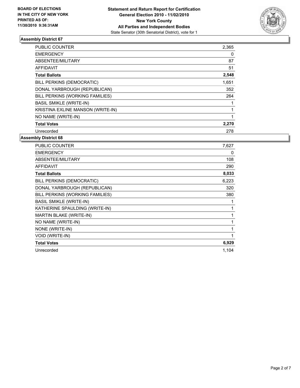

| PUBLIC COUNTER                    | 2,365 |
|-----------------------------------|-------|
| <b>EMERGENCY</b>                  | 0     |
| ABSENTEE/MILITARY                 | 87    |
| <b>AFFIDAVIT</b>                  | 51    |
| <b>Total Ballots</b>              | 2,548 |
| BILL PERKINS (DEMOCRATIC)         | 1,651 |
| DONAL YARBROUGH (REPUBLICAN)      | 352   |
| BILL PERKINS (WORKING FAMILIES)   | 264   |
| <b>BASIL SMIKLE (WRITE-IN)</b>    |       |
| KRISTINA EXLINE MANSON (WRITE-IN) | 1     |
| NO NAME (WRITE-IN)                |       |
| <b>Total Votes</b>                | 2,270 |
| Unrecorded                        | 278   |

| <b>PUBLIC COUNTER</b>           | 7,627 |
|---------------------------------|-------|
| <b>EMERGENCY</b>                | 0     |
| ABSENTEE/MILITARY               | 108   |
| <b>AFFIDAVIT</b>                | 290   |
| <b>Total Ballots</b>            | 8,033 |
| BILL PERKINS (DEMOCRATIC)       | 6,223 |
| DONAL YARBROUGH (REPUBLICAN)    | 320   |
| BILL PERKINS (WORKING FAMILIES) | 380   |
| <b>BASIL SMIKLE (WRITE-IN)</b>  | 1     |
| KATHERINE SPAULDING (WRITE-IN)  | 1     |
| MARTIN BLAKE (WRITE-IN)         | 1     |
| NO NAME (WRITE-IN)              | 1     |
| NONE (WRITE-IN)                 | 1     |
| VOID (WRITE-IN)                 | 1     |
| <b>Total Votes</b>              | 6,929 |
| Unrecorded                      | 1,104 |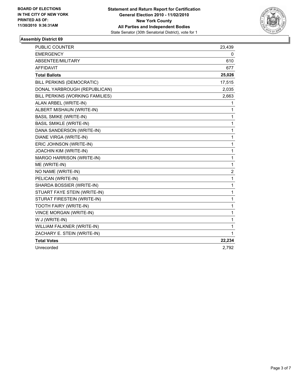

| PUBLIC COUNTER                  | 23,439                  |
|---------------------------------|-------------------------|
| <b>EMERGENCY</b>                | 0                       |
| ABSENTEE/MILITARY               | 610                     |
| <b>AFFIDAVIT</b>                | 677                     |
| <b>Total Ballots</b>            | 25,026                  |
| BILL PERKINS (DEMOCRATIC)       | 17,515                  |
| DONAL YARBROUGH (REPUBLICAN)    | 2,035                   |
| BILL PERKINS (WORKING FAMILIES) | 2,663                   |
| ALAN ARBEL (WRITE-IN)           | 1                       |
| ALBERT MISHAUN (WRITE-IN)       | $\mathbf{1}$            |
| <b>BASIL SMIKE (WRITE-IN)</b>   | 1                       |
| <b>BASIL SMIKLE (WRITE-IN)</b>  | 1                       |
| DANA SANDERSON (WRITE-IN)       | 1                       |
| DIANE VIRGA (WRITE-IN)          | 1                       |
| ERIC JOHNSON (WRITE-IN)         | 1                       |
| JOACHIN KIM (WRITE-IN)          | 1                       |
| MARGO HARRISON (WRITE-IN)       | 1                       |
| ME (WRITE-IN)                   | 1                       |
| NO NAME (WRITE-IN)              | $\overline{\mathbf{c}}$ |
| PELICAN (WRITE-IN)              | $\mathbf{1}$            |
| SHARDA BOSSIER (WRITE-IN)       | 1                       |
| STUART FAYE STEIN (WRITE-IN)    | $\mathbf{1}$            |
| STURAT FIRESTEIN (WRITE-IN)     | $\mathbf{1}$            |
| TOOTH FAIRY (WRITE-IN)          | $\mathbf{1}$            |
| VINCE MORGAN (WRITE-IN)         | 1                       |
| W J (WRITE-IN)                  | $\mathbf 1$             |
| WILLIAM FALKNER (WRITE-IN)      | 1                       |
| ZACHARY E. STEIN (WRITE-IN)     | 1                       |
| <b>Total Votes</b>              | 22,234                  |
| Unrecorded                      | 2,792                   |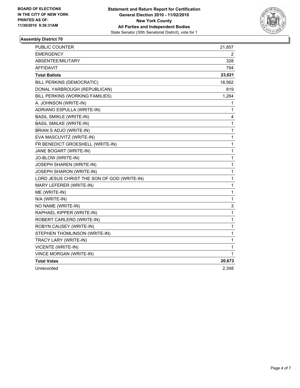

| PUBLIC COUNTER                              | 21,857 |
|---------------------------------------------|--------|
| <b>EMERGENCY</b>                            | 2      |
| ABSENTEE/MILITARY                           | 328    |
| AFFIDAVIT                                   | 794    |
| <b>Total Ballots</b>                        | 23,021 |
| BILL PERKINS (DEMOCRATIC)                   | 18,562 |
| DONAL YARBROUGH (REPUBLICAN)                | 819    |
| BILL PERKINS (WORKING FAMILIES)             | 1,264  |
| A. JOHNSON (WRITE-IN)                       | 1      |
| ADRIANO ESPULLA (WRITE-IN)                  | 1      |
| <b>BASIL SMIKLE (WRITE-IN)</b>              | 4      |
| <b>BASIL SMILKE (WRITE-IN)</b>              | 1      |
| BRIAN S ADJO (WRITE-IN)                     | 1      |
| EVA MASCUVITZ (WRITE-IN)                    | 1      |
| FR BENEDICT GROESHELL (WRITE-IN)            | 1      |
| JANE BOGART (WRITE-IN)                      | 1      |
| JO-BLOW (WRITE-IN)                          | 1      |
| JOSEPH SHAREN (WRITE-IN)                    | 1      |
| JOSEPH SHARON (WRITE-IN)                    | 1      |
| LORD JESUS CHRIST THE SON OF GOD (WRITE-IN) | 1      |
| MARY LEFERER (WRITE-IN)                     | 1      |
| ME (WRITE-IN)                               | 1      |
| N/A (WRITE-IN)                              | 1      |
| NO NAME (WRITE-IN)                          | 3      |
| RAPHAEL KIPPER (WRITE-IN)                   | 1      |
| ROBERT CARLERD (WRITE-IN)                   | 1      |
| ROBYN CAUSEY (WRITE-IN)                     | 1      |
| STEPHEN THOMLINSON (WRITE-IN)               | 1      |
| TRACY LARY (WRITE-IN)                       | 1      |
| VICENTE (WRITE-IN)                          | 1      |
| <b>VINCE MORGAN (WRITE-IN)</b>              | 1      |
| <b>Total Votes</b>                          | 20,673 |
| Unrecorded                                  | 2,348  |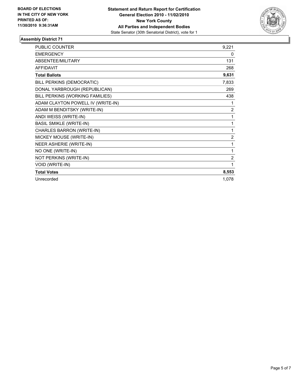

| <b>PUBLIC COUNTER</b>             | 9,221          |
|-----------------------------------|----------------|
| <b>EMERGENCY</b>                  | 0              |
| <b>ABSENTEE/MILITARY</b>          | 131            |
| <b>AFFIDAVIT</b>                  | 268            |
| <b>Total Ballots</b>              | 9,631          |
| BILL PERKINS (DEMOCRATIC)         | 7,833          |
| DONAL YARBROUGH (REPUBLICAN)      | 269            |
| BILL PERKINS (WORKING FAMILIES)   | 438            |
| ADAM CLAYTON POWELL IV (WRITE-IN) | 1              |
| ADAM M BENDITSKY (WRITE-IN)       | $\overline{2}$ |
| ANDI WEISS (WRITE-IN)             | 1              |
| <b>BASIL SMIKLE (WRITE-IN)</b>    | 1              |
| CHARLES BARRON (WRITE-IN)         | 1              |
| MICKEY MOUSE (WRITE-IN)           | 2              |
| NEER ASHERIE (WRITE-IN)           | 1              |
| NO ONE (WRITE-IN)                 | 1              |
| NOT PERKINS (WRITE-IN)            | $\overline{2}$ |
| VOID (WRITE-IN)                   | 1              |
| <b>Total Votes</b>                | 8,553          |
| Unrecorded                        | 1,078          |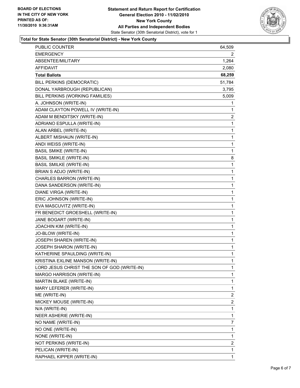

#### **Total for State Senator (30th Senatorial District) - New York County**

| <b>PUBLIC COUNTER</b>                       | 64,509 |
|---------------------------------------------|--------|
| <b>EMERGENCY</b>                            | 2      |
| ABSENTEE/MILITARY                           | 1,264  |
| AFFIDAVIT                                   | 2,080  |
| <b>Total Ballots</b>                        | 68,259 |
| BILL PERKINS (DEMOCRATIC)                   | 51,784 |
| DONAL YARBROUGH (REPUBLICAN)                | 3,795  |
| BILL PERKINS (WORKING FAMILIES)             | 5,009  |
| A. JOHNSON (WRITE-IN)                       | 1      |
| ADAM CLAYTON POWELL IV (WRITE-IN)           | 1      |
| ADAM M BENDITSKY (WRITE-IN)                 | 2      |
| ADRIANO ESPULLA (WRITE-IN)                  | 1      |
| ALAN ARBEL (WRITE-IN)                       | 1      |
| ALBERT MISHAUN (WRITE-IN)                   | 1      |
| ANDI WEISS (WRITE-IN)                       | 1      |
| <b>BASIL SMIKE (WRITE-IN)</b>               | 1      |
| <b>BASIL SMIKLE (WRITE-IN)</b>              | 8      |
| <b>BASIL SMILKE (WRITE-IN)</b>              | 1      |
| BRIAN S ADJO (WRITE-IN)                     | 1      |
| CHARLES BARRON (WRITE-IN)                   | 1      |
| DANA SANDERSON (WRITE-IN)                   | 1      |
| DIANE VIRGA (WRITE-IN)                      | 1      |
| ERIC JOHNSON (WRITE-IN)                     | 1      |
| EVA MASCUVITZ (WRITE-IN)                    | 1      |
| FR BENEDICT GROESHELL (WRITE-IN)            | 1      |
| JANE BOGART (WRITE-IN)                      | 1      |
| JOACHIN KIM (WRITE-IN)                      | 1      |
| JO-BLOW (WRITE-IN)                          | 1      |
| JOSEPH SHAREN (WRITE-IN)                    | 1      |
| <b>JOSEPH SHARON (WRITE-IN)</b>             | 1      |
| KATHERINE SPAULDING (WRITE-IN)              | 1      |
| KRISTINA EXLINE MANSON (WRITE-IN)           | 1      |
| LORD JESUS CHRIST THE SON OF GOD (WRITE-IN) | 1      |
| MARGO HARRISON (WRITE-IN)                   | 1      |
| MARTIN BLAKE (WRITE-IN)                     | 1      |
| MARY LEFERER (WRITE-IN)                     | 1      |
| ME (WRITE-IN)                               | 2      |
| MICKEY MOUSE (WRITE-IN)                     | 2      |
| N/A (WRITE-IN)                              | 1      |
| NEER ASHERIE (WRITE-IN)                     | 1      |
| NO NAME (WRITE-IN)                          | 7      |
| NO ONE (WRITE-IN)                           | 1      |
| NONE (WRITE-IN)                             | 1      |
| NOT PERKINS (WRITE-IN)                      | 2      |
| PELICAN (WRITE-IN)                          | 1      |
| RAPHAEL KIPPER (WRITE-IN)                   | 1      |